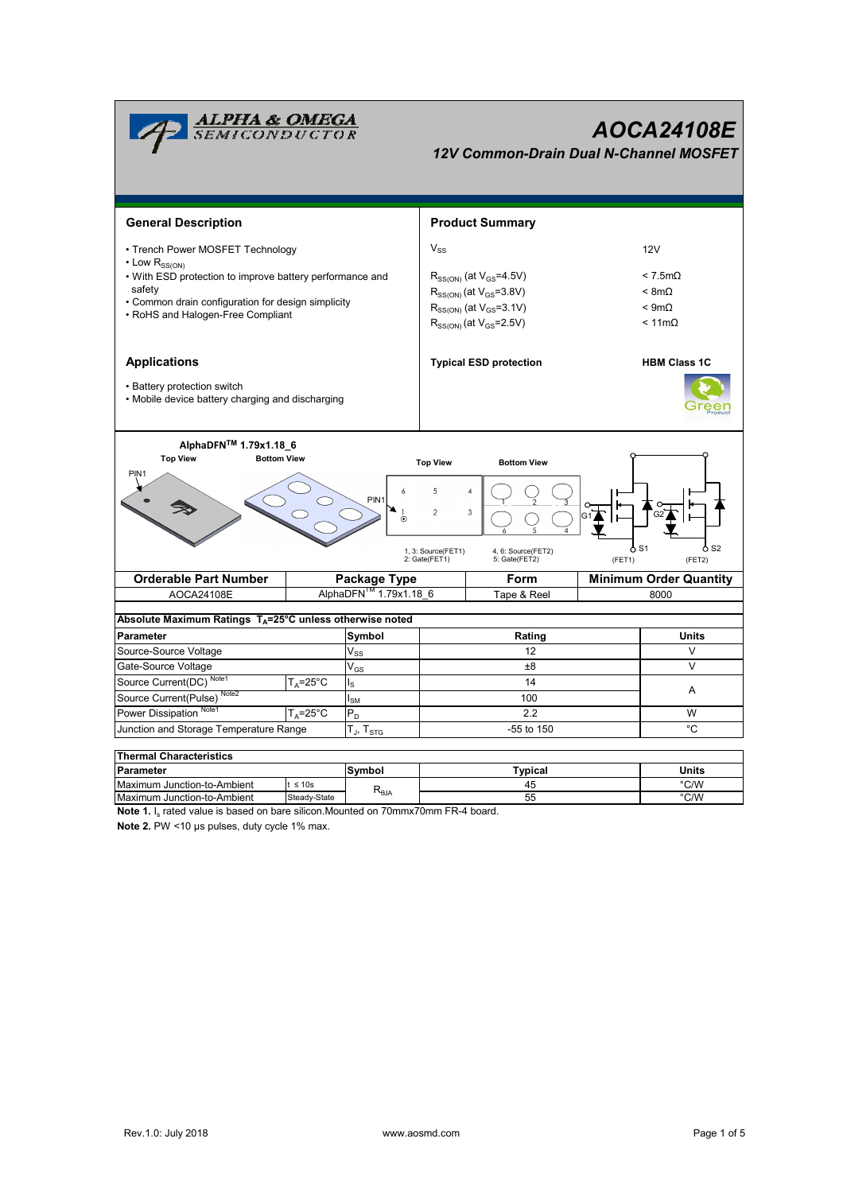

| i i nemiai Unaracteristics  |              |                   |         |       |  |  |  |  |  |  |  |
|-----------------------------|--------------|-------------------|---------|-------|--|--|--|--|--|--|--|
| <b>Parameter</b>            |              | Svmbol            | Typical | Units |  |  |  |  |  |  |  |
| Maximum Junction-to-Ambient | $\leq 10s$   |                   |         | °C/W  |  |  |  |  |  |  |  |
| Maximum Junction-to-Ambient | Steady-State | ι≺ <sub>θJΑ</sub> | 55      | °C/W  |  |  |  |  |  |  |  |

**Note 1.** I<sub>s</sub> rated value is based on bare silicon.Mounted on 70mmx70mm FR-4 board.

**Note 2.** PW <10 µs pulses, duty cycle 1% max.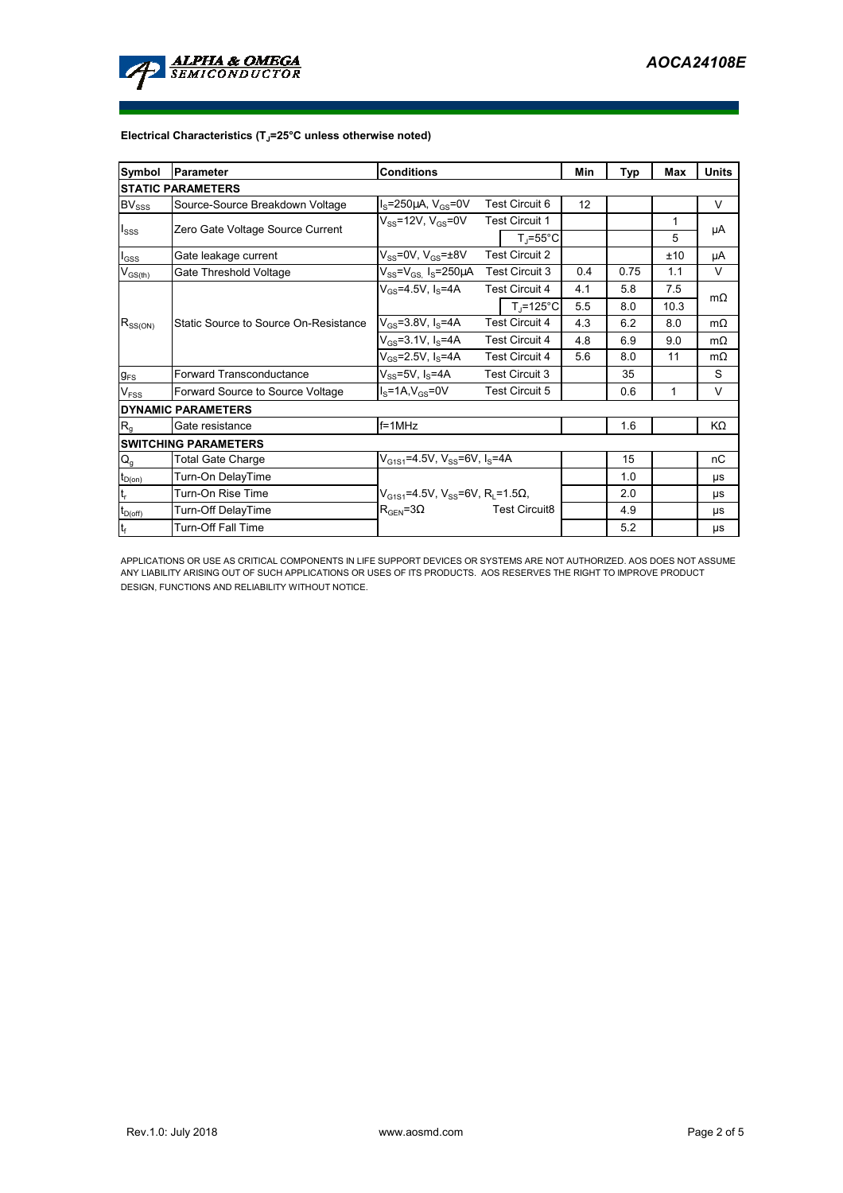

## **Electrical Characteristics (TJ=25°C unless otherwise noted)**

| <b>Symbol</b>                | <b>Conditions</b><br><b>Parameter</b> |                                                                       |                       |                                | Min | Typ  | Max  | <b>Units</b> |  |  |  |  |  |
|------------------------------|---------------------------------------|-----------------------------------------------------------------------|-----------------------|--------------------------------|-----|------|------|--------------|--|--|--|--|--|
| <b>STATIC PARAMETERS</b>     |                                       |                                                                       |                       |                                |     |      |      |              |  |  |  |  |  |
| $\mathsf{BV}_{\mathsf{SSS}}$ | Source-Source Breakdown Voltage       | Test Circuit 6<br>$IS=250\mu A$ , $VGS=0V$                            |                       | 12                             |     |      | V    |              |  |  |  |  |  |
| $I_{SSS}$                    | Zero Gate Voltage Source Current      | $V_{SS}$ =12V, $V_{GS}$ =0V                                           |                       | <b>Test Circuit 1</b>          |     |      | 1    | μA           |  |  |  |  |  |
|                              |                                       |                                                                       |                       | $T_{\parallel} = 55^{\circ}$ C |     |      | 5    |              |  |  |  |  |  |
| $I_{GSS}$                    | Gate leakage current                  | $V_{SS}$ =0V, $V_{GS}$ = $\pm$ 8V                                     | <b>Test Circuit 2</b> |                                |     |      | ±10  | μA           |  |  |  |  |  |
| $V_{GS(th)}$                 | Gate Threshold Voltage                | $V_{SS} = V_{GS}$ I <sub>S</sub> =250 $\mu$ A                         | <b>Test Circuit 3</b> |                                | 0.4 | 0.75 | 1.1  | $\vee$       |  |  |  |  |  |
| $R_{SS(ON)}$                 |                                       | $V_{GS} = 4.5V, I_S = 4A$                                             |                       | <b>Test Circuit 4</b>          | 4.1 | 5.8  | 7.5  | $m\Omega$    |  |  |  |  |  |
|                              |                                       |                                                                       |                       | $T_i = 125^{\circ}C$           | 5.5 | 8.0  | 10.3 |              |  |  |  |  |  |
|                              | Static Source to Source On-Resistance | $V_{GS}$ =3.8V, I <sub>S</sub> =4A                                    | <b>Test Circuit 4</b> |                                | 4.3 | 6.2  | 8.0  | $m\Omega$    |  |  |  |  |  |
|                              |                                       | $V_{GS} = 3.1 V, I_S = 4A$                                            | <b>Test Circuit 4</b> |                                | 4.8 | 6.9  | 9.0  | $m\Omega$    |  |  |  |  |  |
|                              |                                       | $V_{GS} = 2.5V, I_S = 4A$                                             | <b>Test Circuit 4</b> |                                | 5.6 | 8.0  | 11   | $m\Omega$    |  |  |  |  |  |
| $g_{FS}$                     | <b>Forward Transconductance</b>       | $V_{SS}$ =5V, $I_S$ =4A                                               | <b>Test Circuit 3</b> |                                |     | 35   |      | S            |  |  |  |  |  |
| V <sub>FSS</sub>             | Forward Source to Source Voltage      | $IS=1A, VGS=0V$                                                       | <b>Test Circuit 5</b> |                                |     | 0.6  | 1    | V            |  |  |  |  |  |
|                              | <b>DYNAMIC PARAMETERS</b>             |                                                                       |                       |                                |     |      |      |              |  |  |  |  |  |
| $R_{q}$                      | Gate resistance                       | $f = 1$ MHz                                                           |                       |                                |     | 1.6  |      | KΩ           |  |  |  |  |  |
|                              | <b>SWITCHING PARAMETERS</b>           |                                                                       |                       |                                |     |      |      |              |  |  |  |  |  |
| $Q_g$                        | <b>Total Gate Charge</b>              | $V_{G1S1} = 4.5V$ , $V_{SS} = 6V$ , $I_S = 4A$                        |                       |                                |     | 15   |      | nC           |  |  |  |  |  |
| $t_{D(0n)}$                  | Turn-On DelayTime                     |                                                                       |                       |                                |     | 1.0  |      | μs           |  |  |  |  |  |
| $\mathsf{t}_{\mathsf{r}}$    | Turn-On Rise Time                     | $V_{G1S1}$ =4.5V, V <sub>SS</sub> =6V, R <sub>1</sub> =1.5 $\Omega$ , |                       |                                |     | 2.0  |      | μs           |  |  |  |  |  |
| $t_{\text{D(off)}}$          | Turn-Off DelayTime                    | $R_{\text{GEN}} = 3\Omega$                                            |                       | <b>Test Circuit8</b>           |     | 4.9  |      | <b>US</b>    |  |  |  |  |  |
| $ t_f $                      | <b>Turn-Off Fall Time</b>             |                                                                       |                       |                                |     | 5.2  |      | μs           |  |  |  |  |  |

APPLICATIONS OR USE AS CRITICAL COMPONENTS IN LIFE SUPPORT DEVICES OR SYSTEMS ARE NOT AUTHORIZED. AOS DOES NOT ASSUME<br>ANY LIABILITY ARISING OUT OF SUCH APPLICATIONS OR USES OF ITS PRODUCTS. AOS RESERVES THE RIGHT TO IMPROV DESIGN, FUNCTIONS AND RELIABILITY WITHOUT NOTICE.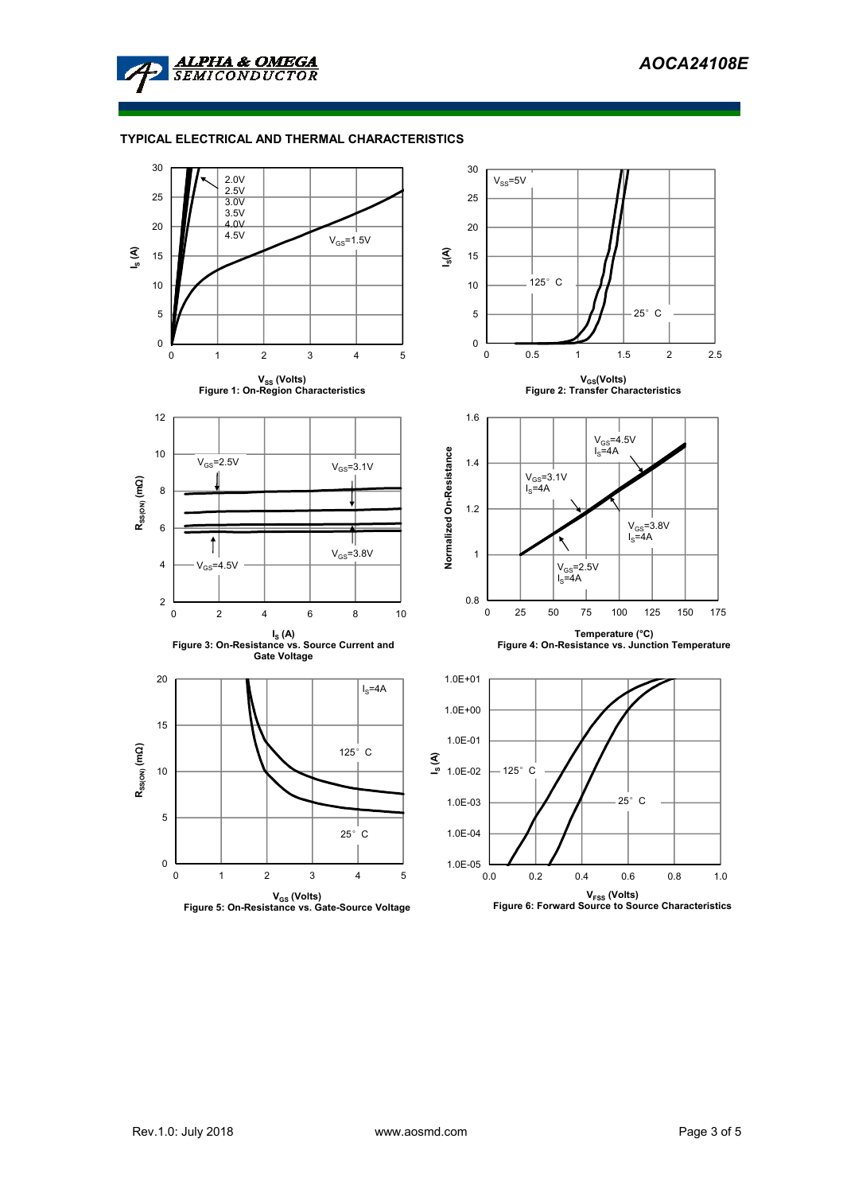

## **TYPICAL ELECTRICAL AND THERMAL CHARACTERISTICS**

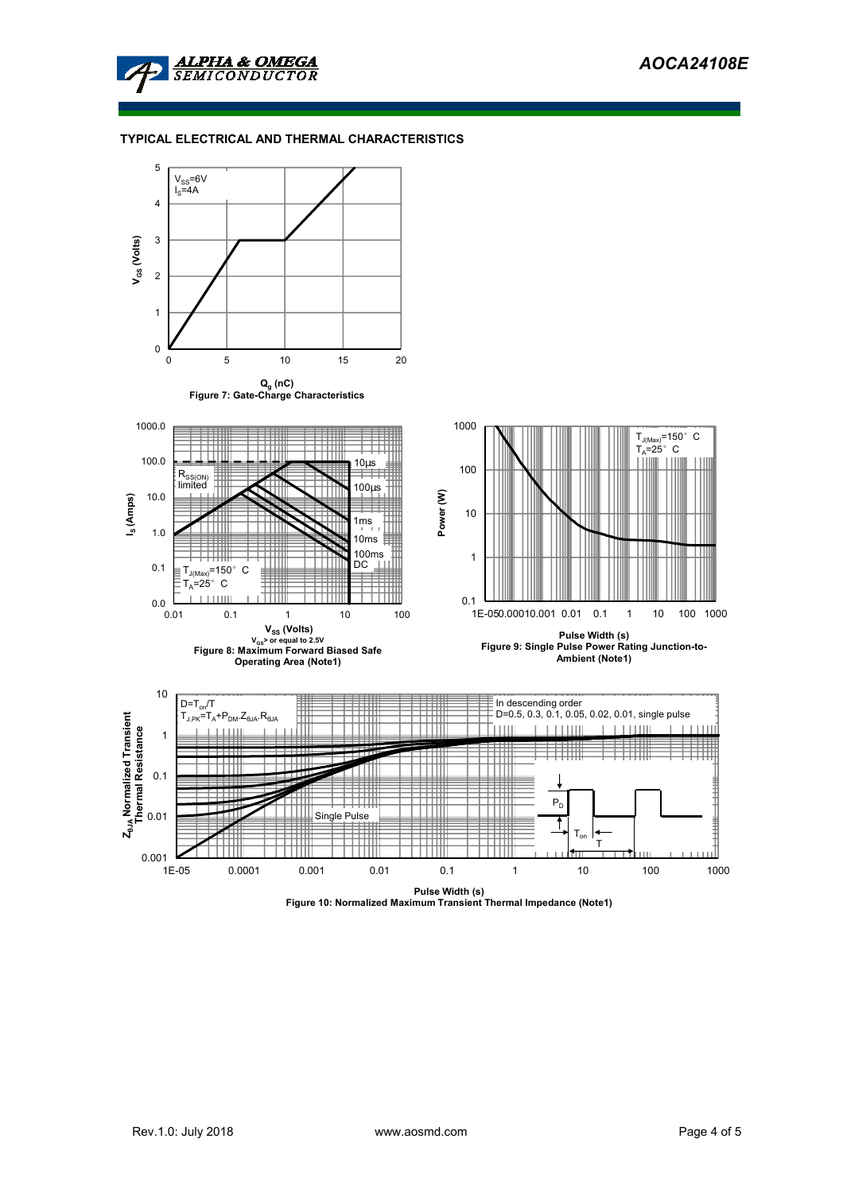

## **TYPICAL ELECTRICAL AND THERMAL CHARACTERISTICS**